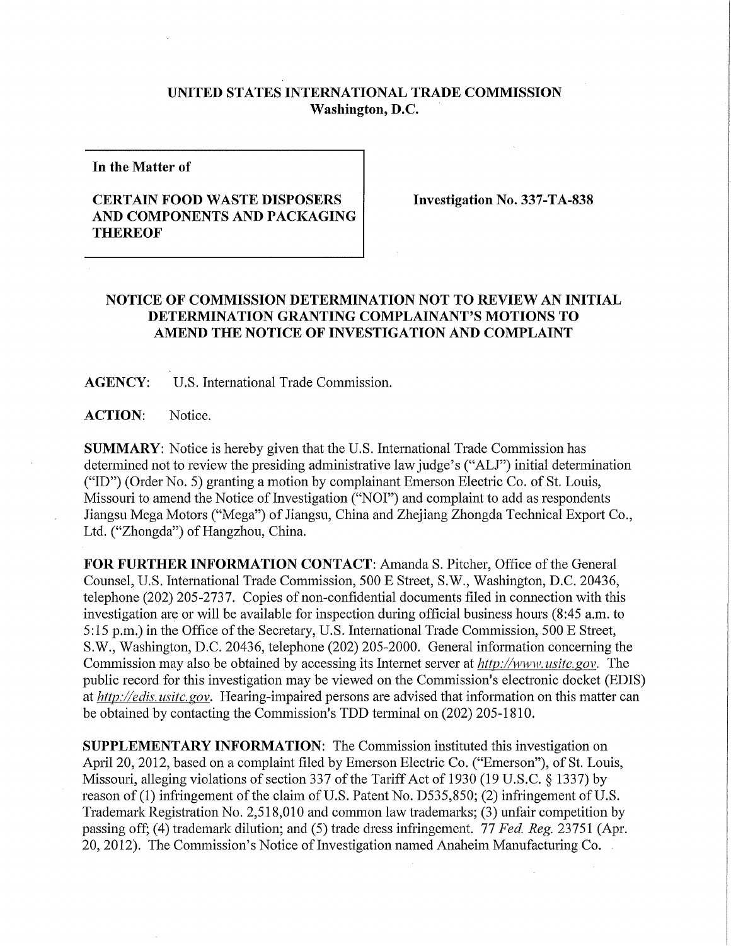## **UNITED STATES INTERNATIONAL TRADE COMMISSION Washington, D.C.**

**In the Matter of** 

## **CERTAIN FOOD WASTE DISPOSERS AND COMPONENTS AND PACKAGING THEREOF**

**Investigation No. 337-TA-838** 

## **NOTICE OF COMMISSION DETERMINATION NOT TO REVIEW AN INITIAL DETERMINATION GRANTING COMPLAINANT'S MOTIONS TO**  AMEND THE NOTICE OF INVESTIGATION AND COMPLAINT

**AGENCY:** U.S. International Trade Commission.

ACTION: Notice.

**SUMMARY:** Notice is hereby given that the U.S. International Trade Commission has determined not to review the presiding administrative law judge's ("ALJ") initial determination ("ID") (Order No. 5) granting a motion by complainant Emerson Electric Co. of St. Louis, Missouri to amend the Notice of Investigation ("NOI") and complaint to add as respondents Jiangsu Mega Motors ("Mega") of Jiangsu, China and Zhejiang Zhongda Technical Export Co., Ltd. ("Zhongda") of Hangzhou, China.

FOR FURTHER INFORMATION CONTACT: Amanda S. Pitcher, Office of the General Counsel, U.S. International Trade Commission, 500 E Street, S.W., Washington, D.C. 20436, telephone (202) 205-2737. Copies of non-confidential documents filed in connection with this investigation are or will be available for inspection during official business hours (8:45 a.m. to 5:15 p.m.) in the Office of the Secretary, U.S. International Trade Commission, 500 E Street, S.W., Washington, D.C. 20436, telephone (202) 205-2000. General information concerning the Commission may also be obtained by accessing its Internet server at *http://www, usitc. gov.* The public record for this investigation may be viewed on the Commission's electronic docket (EDIS) at *http://edis. usitc. gov.* Hearing-impaired persons are advised that information on this matter can be obtained by contacting the Commission's TDD terminal on (202) 205-1810.

**SUPPLEMENTARY INFORMATION:** The Commission instituted this investigation on April 20, 2012, based on a complaint filed by Emerson Electric Co. ("Emerson"), of St. Louis, Missouri, alleging violations of section 337 of the Tariff Act of 1930 (19 U.S.C. § 1337) by reason of (1) infringement of the claim of U.S. Patent No. D535,850; (2) infringement of U.S. Trademark Registration No. 2,518,010 and common law trademarks; (3) unfair competition by passing off; (4) trademark dilution; and (5) trade dress infringement. 77 *Fed. Reg.* 23751 (Apr. 20, 2012). The Commission's Notice of Investigation named Anaheim Manufacturing Co.